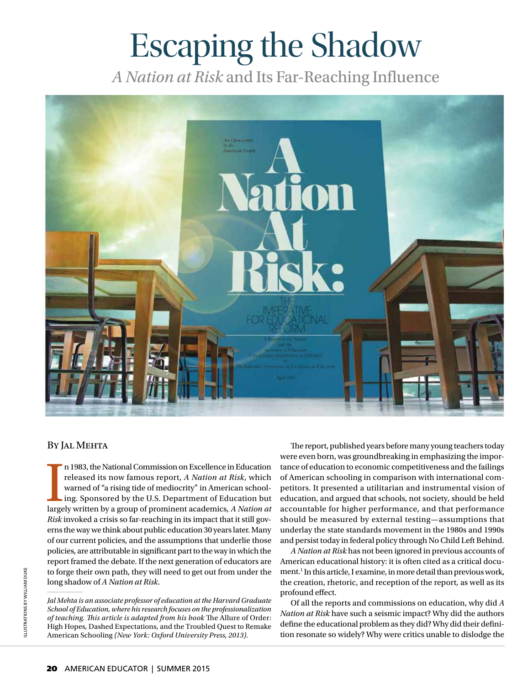# Escaping the Shadow

A Nation at Risk and Its Far-Reaching Influence



#### BY JAL MEHTA

In 1983, the National Commission on Excellence in Education released its now famous report, *A Nation at Risk*, which warned of "a rising tide of mediocrity" in American schooling. Sponsored by the U.S. Department of Educa n 1983, the National Commission on Excellence in Education released its now famous report, *A Nation at Risk*, which warned of "a rising tide of mediocrity" in American schooling. Sponsored by the U.S. Department of Education but *Risk* invoked a crisis so far-reaching in its impact that it still governs the way we think about public education 30 years later. Many of our current policies, and the assumptions that underlie those policies, are attributable in significant part to the way in which the report framed the debate. If the next generation of educators are to forge their own path, they will need to get out from under the long shadow of *A Nation at Risk*.

*Jal Mehta is an associate professor of education at the Harvard Graduate School of Education, where his research focuses on the professionalization of teaching. This article is adapted from his book The Allure of Order:* High Hopes, Dashed Expectations, and the Troubled Quest to Remake American Schooling *(New York: Oxford University Press, 2013).*

The report, published years before many young teachers today were even born, was groundbreaking in emphasizing the importance of education to economic competitiveness and the failings of American schooling in comparison with international competitors. It presented a utilitarian and instrumental vision of education, and argued that schools, not society, should be held accountable for higher performance, and that performance should be measured by external testing—assumptions that underlay the state standards movement in the 1980s and 1990s and persist today in federal policy through No Child Left Behind.

*A Nation at Risk* has not been ignored in previous accounts of American educational history: it is often cited as a critical document.1 In this article, I examine, in more detail than previous work, the creation, rhetoric, and reception of the report, as well as its profound effect.

Of all the reports and commissions on education, why did *A Nation at Risk* have such a seismic impact? Why did the authors define the educational problem as they did? Why did their definition resonate so widely? Why were critics unable to dislodge the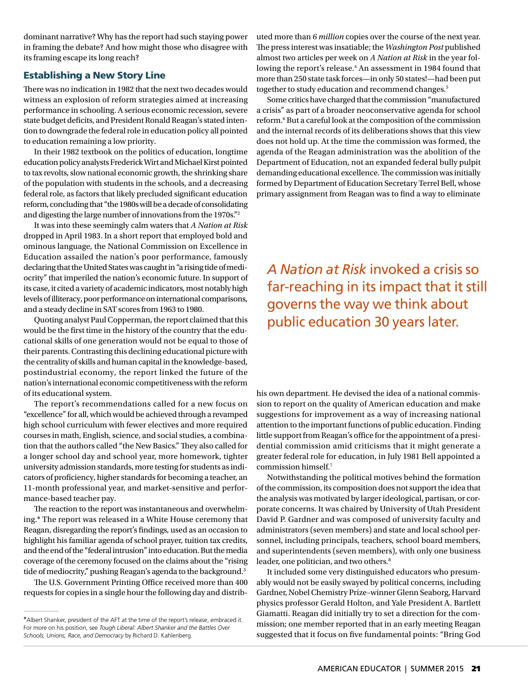dominant narrative? Why has the report had such staying power in framing the debate? And how might those who disagree with its framing escape its long reach?

#### Establishing a New Story Line

There was no indication in 1982 that the next two decades would witness an explosion of reform strategies aimed at increasing performance in schooling. A serious economic recession, severe state budget deficits, and President Ronald Reagan's stated intention to downgrade the federal role in education policy all pointed to education remaining a low priority.

In their 1982 textbook on the politics of education, longtime education policy analysts Frederick Wirt and Michael Kirst pointed to tax revolts, slow national economic growth, the shrinking share of the population with students in the schools, and a decreasing federal role, as factors that likely precluded significant education reform, concluding that "the 1980s will be a decade of consolidating and digesting the large number of innovations from the 1970s."2

It was into these seemingly calm waters that *A Nation at Risk* dropped in April 1983. In a short report that employed bold and ominous language, the National Commission on Excellence in Education assailed the nation's poor performance, famously declaring that the United States was caught in "a rising tide of mediocrity" that imperiled the nation's economic future. In support of its case, it cited a variety of academic indicators, most notably high levels of illiteracy, poor performance on international comparisons, and a steady decline in SAT scores from 1963 to 1980.

Quoting analyst Paul Copperman, the report claimed that this would be the first time in the history of the country that the educational skills of one generation would not be equal to those of their parents. Contrasting this declining educational picture with the centrality of skills and human capital in the knowledge-based, postindustrial economy, the report linked the future of the nation's international economic competitiveness with the reform of its educational system.

The report's recommendations called for a new focus on "excellence" for all, which would be achieved through a revamped high school curriculum with fewer electives and more required courses in math, English, science, and social studies, a combination that the authors called "the New Basics." They also called for a longer school day and school year, more homework, tighter university admission standards, more testing for students as indicators of proficiency, higher standards for becoming a teacher, an 11-month professional year, and market-sensitive and performance-based teacher pay.

The reaction to the report was instantaneous and overwhelming.\* The report was released in a White House ceremony that Reagan, disregarding the report's findings, used as an occasion to highlight his familiar agenda of school prayer, tuition tax credits, and the end of the "federal intrusion" into education. But the media coverage of the ceremony focused on the claims about the "rising tide of mediocrity," pushing Reagan's agenda to the background.<sup>3</sup>

The U.S. Government Printing Office received more than 400 requests for copies in a single hour the following day and distributed more than *6 million* copies over the course of the next year. The press interest was insatiable; the *Washington Post* published almost two articles per week on *A Nation at Risk* in the year following the report's release.4 An assessment in 1984 found that more than 250 state task forces—in only 50 states!—had been put together to study education and recommend changes.<sup>5</sup>

Some critics have charged that the commission "manufactured a crisis" as part of a broader neoconservative agenda for school reform.6 But a careful look at the composition of the commission and the internal records of its deliberations shows that this view does not hold up. At the time the commission was formed, the agenda of the Reagan administration was the abolition of the Department of Education, not an expanded federal bully pulpit demanding educational excellence. The commission was initially formed by Department of Education Secretary Terrel Bell, whose primary assignment from Reagan was to find a way to eliminate

*A Nation at Risk* invoked a crisis so far-reaching in its impact that it still governs the way we think about public education 30 years later.

his own department. He devised the idea of a national commission to report on the quality of American education and make suggestions for improvement as a way of increasing national attention to the important functions of public education. Finding little support from Reagan's office for the appointment of a presidential commission amid criticisms that it might generate a greater federal role for education, in July 1981 Bell appointed a commission himself.7

Notwithstanding the political motives behind the formation of the commission, its composition does not support the idea that the analysis was motivated by larger ideological, partisan, or corporate concerns. It was chaired by University of Utah President David P. Gardner and was composed of university faculty and administrators (seven members) and state and local school personnel, including principals, teachers, school board members, and superintendents (seven members), with only one business leader, one politician, and two others.<sup>8</sup>

It included some very distinguished educators who presumably would not be easily swayed by political concerns, including Gardner, Nobel Chemistry Prize–winner Glenn Seaborg, Harvard physics professor Gerald Holton, and Yale President A. Bartlett Giamatti. Reagan did initially try to set a direction for the commission; one member reported that in an early meeting Reagan suggested that it focus on five fundamental points: "Bring God

<sup>\*</sup>Albert Shanker, president of the AFT at the time of the report's release, embraced it. For more on his position, see *Tough Liberal: Albert Shanker and the Battles Over Schools, Unions, Race, and Democracy* by Richard D. Kahlenberg.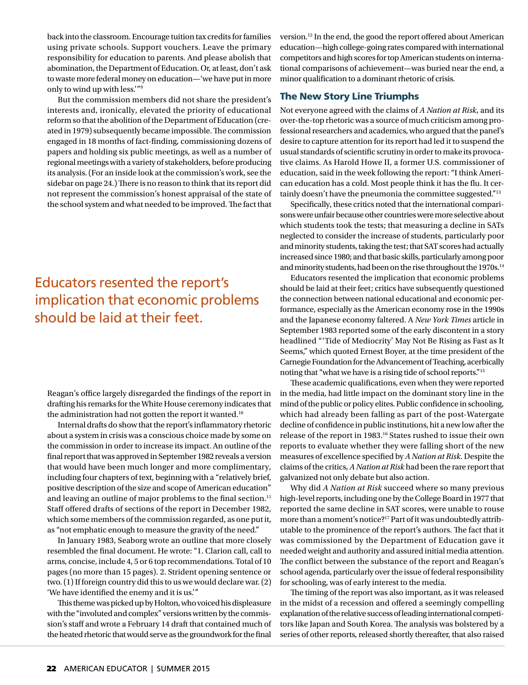back into the classroom. Encourage tuition tax credits for families using private schools. Support vouchers. Leave the primary responsibility for education to parents. And please abolish that abomination, the Department of Education. Or, at least, don't ask to waste more federal money on education—'we have put in more only to wind up with less."<sup>9</sup>

But the commission members did not share the president's interests and, ironically, elevated the priority of educational reform so that the abolition of the Department of Education (created in 1979) subsequently became impossible. The commission engaged in 18 months of fact-finding, commissioning dozens of papers and holding six public meetings, as well as a number of regional meetings with a variety of stakeholders, before producing its analysis. (For an inside look at the commission's work, see the sidebar on page 24.) There is no reason to think that its report did not represent the commission's honest appraisal of the state of the school system and what needed to be improved. The fact that

## Educators resented the report's implication that economic problems should be laid at their feet.

Reagan's office largely disregarded the findings of the report in drafting his remarks for the White House ceremony indicates that the administration had not gotten the report it wanted.<sup>10</sup>

Internal drafts do show that the report's inflammatory rhetoric about a system in crisis was a conscious choice made by some on the commission in order to increase its impact. An outline of the final report that was approved in September 1982 reveals a version that would have been much longer and more complimentary, including four chapters of text, beginning with a "relatively brief, positive description of the size and scope of American education" and leaving an outline of major problems to the final section.<sup>11</sup> Staff offered drafts of sections of the report in December 1982, which some members of the commission regarded, as one put it, as "not emphatic enough to measure the gravity of the need."

In January 1983, Seaborg wrote an outline that more closely resembled the final document. He wrote: "1. Clarion call, call to arms, concise, include 4, 5 or 6 top recommendations. Total of 10 pages (no more than 15 pages). 2. Strident opening sentence or two. (1) If foreign country did this to us we would declare war. (2) 'We have identified the enemy and it is us.'"

This theme was picked up by Holton, who voiced his displeasure with the "involuted and complex" versions written by the commission's staff and wrote a February 14 draft that contained much of the heated rhetoric that would serve as the groundwork for the final

version.<sup>12</sup> In the end, the good the report offered about American education—high college-going rates compared with international competitors and high scores for top American students on international comparisons of achievement—was buried near the end, a minor qualification to a dominant rhetoric of crisis.

#### The New Story Line Triumphs

Not everyone agreed with the claims of *A Nation at Risk*, and its over-the-top rhetoric was a source of much criticism among professional researchers and academics, who argued that the panel's desire to capture attention for its report had led it to suspend the usual standards of scientific scrutiny in order to make its provocative claims. As Harold Howe II, a former U.S. commissioner of education, said in the week following the report: "I think American education has a cold. Most people think it has the flu. It certainly doesn't have the pneumonia the committee suggested."13

Specifically, these critics noted that the international comparisons were unfair because other countries were more selective about which students took the tests; that measuring a decline in SATs neglected to consider the increase of students, particularly poor and minority students, taking the test; that SAT scores had actually increased since 1980; and that basic skills, particularly among poor and minority students, had been on the rise throughout the 1970s.<sup>14</sup>

Educators resented the implication that economic problems should be laid at their feet; critics have subsequently questioned the connection between national educational and economic performance, especially as the American economy rose in the 1990s and the Japanese economy faltered. A *New York Times* article in September 1983 reported some of the early discontent in a story headlined "'Tide of Mediocrity' May Not Be Rising as Fast as It Seems," which quoted Ernest Boyer, at the time president of the Carnegie Foundation for the Advancement of Teaching, acerbically noting that "what we have is a rising tide of school reports."15

These academic qualifications, even when they were reported in the media, had little impact on the dominant story line in the mind of the public or policy elites. Public confidence in schooling, which had already been falling as part of the post-Watergate decline of confidence in public institutions, hit a new low after the release of the report in 1983.16 States rushed to issue their own reports to evaluate whether they were falling short of the new measures of excellence specified by *A Nation at Risk*. Despite the claims of the critics, *A Nation at Risk* had been the rare report that galvanized not only debate but also action.

Why did *A Nation at Risk* succeed where so many previous high-level reports, including one by the College Board in 1977 that reported the same decline in SAT scores, were unable to rouse more than a moment's notice?17 Part of it was undoubtedly attributable to the prominence of the report's authors. The fact that it was commissioned by the Department of Education gave it needed weight and authority and assured initial media attention. The conflict between the substance of the report and Reagan's school agenda, particularly over the issue of federal responsibility for schooling, was of early interest to the media.

The timing of the report was also important, as it was released in the midst of a recession and offered a seemingly compelling explanation of the relative success of leading international competitors like Japan and South Korea. The analysis was bolstered by a series of other reports, released shortly thereafter, that also raised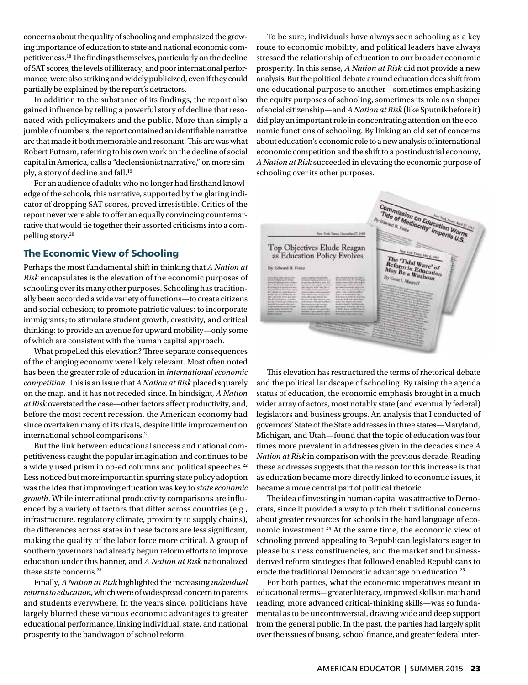concerns about the quality of schooling and emphasized the growing importance of education to state and national economic competitiveness.<sup>18</sup> The findings themselves, particularly on the decline of SAT scores, the levels of illiteracy, and poor international performance, were also striking and widely publicized, even if they could partially be explained by the report's detractors.

In addition to the substance of its findings, the report also gained influence by telling a powerful story of decline that resonated with policymakers and the public. More than simply a jumble of numbers, the report contained an identifiable narrative arc that made it both memorable and resonant. This arc was what Robert Putnam, referring to his own work on the decline of social capital in America, calls a "declensionist narrative," or, more simply, a story of decline and fall.19

For an audience of adults who no longer had firsthand knowledge of the schools, this narrative, supported by the glaring indicator of dropping SAT scores, proved irresistible. Critics of the report never were able to offer an equally convincing counternarrative that would tie together their assorted criticisms into a compelling story.20

#### The Economic View of Schooling

Perhaps the most fundamental shift in thinking that *A Nation at Risk* encapsulates is the elevation of the economic purposes of schooling over its many other purposes. Schooling has traditionally been accorded a wide variety of functions—to create citizens and social cohesion; to promote patriotic values; to incorporate immigrants; to stimulate student growth, creativity, and critical thinking; to provide an avenue for upward mobility—only some of which are consistent with the human capital approach.

What propelled this elevation? Three separate consequences of the changing economy were likely relevant. Most often noted has been the greater role of education in *international economic competition*. This is an issue that *A Nation at Risk* placed squarely on the map, and it has not receded since. In hindsight, *A Nation at Risk* overstated the case—other factors affect productivity, and, before the most recent recession, the American economy had since overtaken many of its rivals, despite little improvement on international school comparisons.<sup>21</sup>

But the link between educational success and national competitiveness caught the popular imagination and continues to be a widely used prism in op-ed columns and political speeches.<sup>22</sup> Less noticed but more important in spurring state policy adoption was the idea that improving education was key to *state economic growth*. While international productivity comparisons are influenced by a variety of factors that differ across countries (e.g., infrastructure, regulatory climate, proximity to supply chains), the differences across states in these factors are less significant, making the quality of the labor force more critical. A group of southern governors had already begun reform efforts to improve education under this banner, and *A Nation at Risk* nationalized these state concerns.23

Finally, *A Nation at Risk* highlighted the increasing *individual returns to education*, which were of widespread concern to parents and students everywhere. In the years since, politicians have largely blurred these various economic advantages to greater educational performance, linking individual, state, and national prosperity to the bandwagon of school reform.

To be sure, individuals have always seen schooling as a key route to economic mobility, and political leaders have always stressed the relationship of education to our broader economic prosperity. In this sense, *A Nation at Risk* did not provide a new analysis. But the political debate around education does shift from one educational purpose to another—sometimes emphasizing the equity purposes of schooling, sometimes its role as a shaper of social citizenship—and *A Nation at Risk* (like Sputnik before it) did play an important role in concentrating attention on the economic functions of schooling. By linking an old set of concerns about education's economic role to a new analysis of international economic competition and the shift to a postindustrial economy, *A Nation at Risk* succeeded in elevating the economic purpose of schooling over its other purposes.



This elevation has restructured the terms of rhetorical debate and the political landscape of schooling. By raising the agenda status of education, the economic emphasis brought in a much wider array of actors, most notably state (and eventually federal) legislators and business groups. An analysis that I conducted of governors' State of the State addresses in three states—Maryland, Michigan, and Utah—found that the topic of education was four times more prevalent in addresses given in the decades since *A Nation at Risk* in comparison with the previous decade. Reading these addresses suggests that the reason for this increase is that as education became more directly linked to economic issues, it became a more central part of political rhetoric.

The idea of investing in human capital was attractive to Democrats, since it provided a way to pitch their traditional concerns about greater resources for schools in the hard language of economic investment.24 At the same time, the economic view of schooling proved appealing to Republican legislators eager to please business constituencies, and the market and businessderived reform strategies that followed enabled Republicans to erode the traditional Democratic advantage on education.25

For both parties, what the economic imperatives meant in educational terms—greater literacy, improved skills in math and reading, more advanced critical-thinking skills—was so fundamental as to be uncontroversial, drawing wide and deep support from the general public. In the past, the parties had largely split over the issues of busing, school finance, and greater federal inter-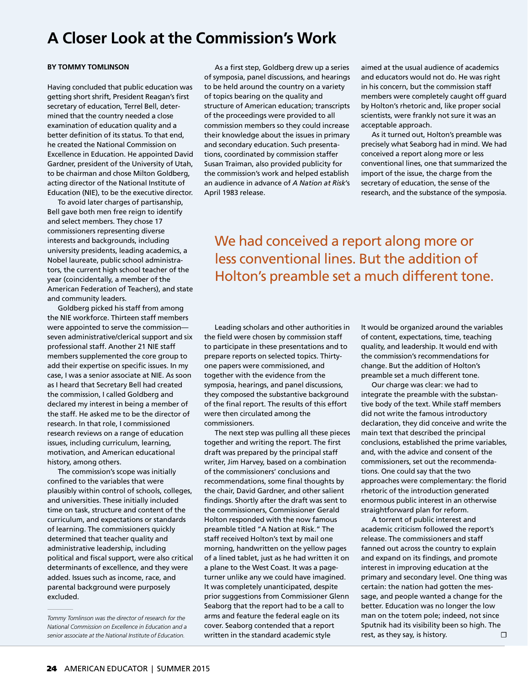## **A Closer Look at the Commission's Work**

#### **BY TOMMY TOMLINSON**

Having concluded that public education was getting short shrift, President Reagan's first secretary of education, Terrel Bell, determined that the country needed a close examination of education quality and a better definition of its status. To that end, he created the National Commission on Excellence in Education. He appointed David Gardner, president of the University of Utah, to be chairman and chose Milton Goldberg, acting director of the National Institute of Education (NIE), to be the executive director.

To avoid later charges of partisanship, Bell gave both men free reign to identify and select members. They chose 17 commissioners representing diverse interests and backgrounds, including university presidents, leading academics, a Nobel laureate, public school administrators, the current high school teacher of the year (coincidentally, a member of the American Federation of Teachers), and state and community leaders.

Goldberg picked his staff from among the NIE workforce. Thirteen staff members were appointed to serve the commission seven administrative/clerical support and six professional staff. Another 21 NIE staff members supplemented the core group to add their expertise on specific issues. In my case, I was a senior associate at NIE. As soon as I heard that Secretary Bell had created the commission, I called Goldberg and declared my interest in being a member of the staff. He asked me to be the director of research. In that role, I commissioned research reviews on a range of education issues, including curriculum, learning, motivation, and American educational history, among others.

The commission's scope was initially confined to the variables that were plausibly within control of schools, colleges, and universities. These initially included time on task, structure and content of the curriculum, and expectations or standards of learning. The commissioners quickly determined that teacher quality and administrative leadership, including political and fiscal support, were also critical determinants of excellence, and they were added. Issues such as income, race, and parental background were purposely excluded.

As a first step, Goldberg drew up a series of symposia, panel discussions, and hearings to be held around the country on a variety of topics bearing on the quality and structure of American education; transcripts of the proceedings were provided to all commission members so they could increase their knowledge about the issues in primary and secondary education. Such presentations, coordinated by commission staffer Susan Traiman, also provided publicity for the commission's work and helped establish an audience in advance of *A Nation at Risk*'s April 1983 release.

aimed at the usual audience of academics and educators would not do. He was right in his concern, but the commission staff members were completely caught off guard by Holton's rhetoric and, like proper social scientists, were frankly not sure it was an acceptable approach.

As it turned out, Holton's preamble was precisely what Seaborg had in mind. We had conceived a report along more or less conventional lines, one that summarized the import of the issue, the charge from the secretary of education, the sense of the research, and the substance of the symposia.

We had conceived a report along more or less conventional lines. But the addition of Holton's preamble set a much different tone.

Leading scholars and other authorities in the field were chosen by commission staff to participate in these presentations and to prepare reports on selected topics. Thirtyone papers were commissioned, and together with the evidence from the symposia, hearings, and panel discussions, they composed the substantive background of the final report. The results of this effort were then circulated among the commissioners.

The next step was pulling all these pieces together and writing the report. The first draft was prepared by the principal staff writer, Jim Harvey, based on a combination of the commissioners' conclusions and recommendations, some final thoughts by the chair, David Gardner, and other salient findings. Shortly after the draft was sent to the commissioners, Commissioner Gerald Holton responded with the now famous preamble titled "A Nation at Risk." The staff received Holton's text by mail one morning, handwritten on the yellow pages of a lined tablet, just as he had written it on a plane to the West Coast. It was a pageturner unlike any we could have imagined. It was completely unanticipated, despite prior suggestions from Commissioner Glenn Seaborg that the report had to be a call to arms and feature the federal eagle on its cover. Seaborg contended that a report written in the standard academic style

It would be organized around the variables of content, expectations, time, teaching quality, and leadership. It would end with the commission's recommendations for change. But the addition of Holton's preamble set a much different tone.

Our charge was clear: we had to integrate the preamble with the substantive body of the text. While staff members did not write the famous introductory declaration, they did conceive and write the main text that described the principal conclusions, established the prime variables, and, with the advice and consent of the commissioners, set out the recommendations. One could say that the two approaches were complementary: the florid rhetoric of the introduction generated enormous public interest in an otherwise straightforward plan for reform.

A torrent of public interest and academic criticism followed the report's release. The commissioners and staff fanned out across the country to explain and expand on its findings, and promote interest in improving education at the primary and secondary level. One thing was certain: the nation had gotten the message, and people wanted a change for the better. Education was no longer the low man on the totem pole; indeed, not since Sputnik had its visibility been so high. The rest, as they say, is history.  $□$ 

*Tommy Tomlinson was the director of research for the National Commission on Excellence in Education and a senior associate at the National Institute of Education.*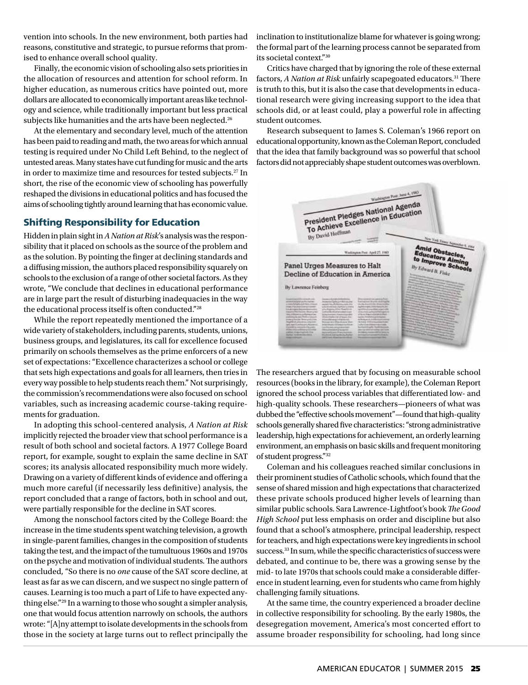vention into schools. In the new environment, both parties had reasons, constitutive and strategic, to pursue reforms that promised to enhance overall school quality.

Finally, the economic vision of schooling also sets priorities in the allocation of resources and attention for school reform. In higher education, as numerous critics have pointed out, more dollars are allocated to economically important areas like technology and science, while traditionally important but less practical subjects like humanities and the arts have been neglected.<sup>26</sup>

At the elementary and secondary level, much of the attention has been paid to reading and math, the two areas for which annual testing is required under No Child Left Behind, to the neglect of untested areas. Many states have cut funding for music and the arts in order to maximize time and resources for tested subjects.27 In short, the rise of the economic view of schooling has powerfully reshaped the divisions in educational politics and has focused the aims of schooling tightly around learning that has economic value.

#### Shifting Responsibility for Education

Hidden in plain sight in *A Nation at Risk*'s analysis was the responsibility that it placed on schools as the source of the problem and as the solution. By pointing the finger at declining standards and a diffusing mission, the authors placed responsibility squarely on schools to the exclusion of a range of other societal factors. As they wrote, "We conclude that declines in educational performance are in large part the result of disturbing inadequacies in the way the educational process itself is often conducted."28

While the report repeatedly mentioned the importance of a wide variety of stakeholders, including parents, students, unions, business groups, and legislatures, its call for excellence focused primarily on schools themselves as the prime enforcers of a new set of expectations: "Excellence characterizes a school or college that sets high expectations and goals for all learners, then tries in every way possible to help students reach them." Not surprisingly, the commission's recommendations were also focused on school variables, such as increasing academic course-taking requirements for graduation.

In adopting this school-centered analysis, *A Nation at Risk* implicitly rejected the broader view that school performance is a result of both school and societal factors. A 1977 College Board report, for example, sought to explain the same decline in SAT scores; its analysis allocated responsibility much more widely. Drawing on a variety of different kinds of evidence and offering a much more careful (if necessarily less definitive) analysis, the report concluded that a range of factors, both in school and out, were partially responsible for the decline in SAT scores.

Among the nonschool factors cited by the College Board: the increase in the time students spent watching television, a growth in single-parent families, changes in the composition of students taking the test, and the impact of the tumultuous 1960s and 1970s on the psyche and motivation of individual students. The authors concluded, "So there is no *one* cause of the SAT score decline, at least as far as we can discern, and we suspect no single pattern of causes. Learning is too much a part of Life to have expected anything else."29 In a warning to those who sought a simpler analysis, one that would focus attention narrowly on schools, the authors wrote: "[A]ny attempt to isolate developments in the schools from those in the society at large turns out to reflect principally the

inclination to institutionalize blame for whatever is going wrong; the formal part of the learning process cannot be separated from its societal context."30

Critics have charged that by ignoring the role of these external factors, *A Nation at Risk* unfairly scapegoated educators.<sup>31</sup> There is truth to this, but it is also the case that developments in educational research were giving increasing support to the idea that schools did, or at least could, play a powerful role in affecting student outcomes.

Research subsequent to James S. Coleman's 1966 report on educational opportunity, known as the Coleman Report, concluded that the idea that family background was so powerful that school factors did not appreciably shape student outcomes was overblown.



The researchers argued that by focusing on measurable school resources (books in the library, for example), the Coleman Report ignored the school process variables that differentiated low- and high-quality schools. These researchers—pioneers of what was dubbed the "effective schools movement"—found that high-quality schools generally shared five characteristics: "strong administrative leadership, high expectations for achievement, an orderly learning environment, an emphasis on basic skills and frequent monitoring of student progress."32

Coleman and his colleagues reached similar conclusions in their prominent studies of Catholic schools, which found that the sense of shared mission and high expectations that characterized these private schools produced higher levels of learning than similar public schools. Sara Lawrence-Lightfoot's book *The Good High School* put less emphasis on order and discipline but also found that a school's atmosphere, principal leadership, respect for teachers, and high expectations were key ingredients in school success.<sup>33</sup> In sum, while the specific characteristics of success were debated, and continue to be, there was a growing sense by the mid- to late 1970s that schools could make a considerable difference in student learning, even for students who came from highly challenging family situations.

At the same time, the country experienced a broader decline in collective responsibility for schooling. By the early 1980s, the desegregation movement, America's most concerted effort to assume broader responsibility for schooling, had long since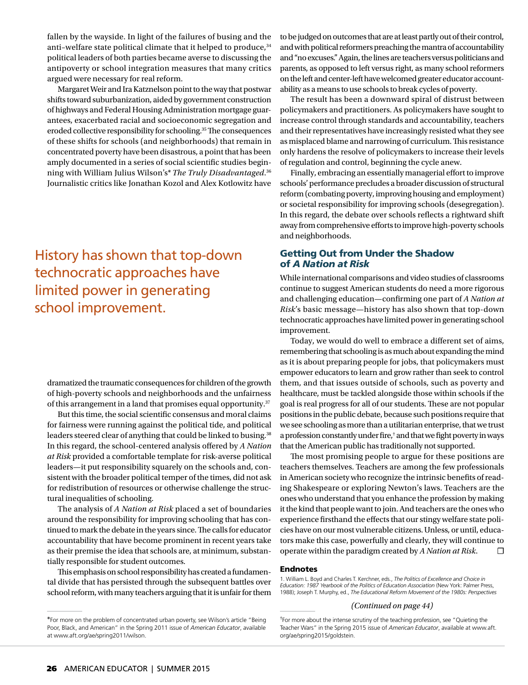fallen by the wayside. In light of the failures of busing and the anti-welfare state political climate that it helped to produce, 34 political leaders of both parties became averse to discussing the antipoverty or school integration measures that many critics argued were necessary for real reform.

Margaret Weir and Ira Katznelson point to the way that postwar shifts toward suburbanization, aided by government construction of highways and Federal Housing Administration mortgage guarantees, exacerbated racial and socioeconomic segregation and eroded collective responsibility for schooling.<sup>35</sup> The consequences of these shifts for schools (and neighborhoods) that remain in concentrated poverty have been disastrous, a point that has been amply documented in a series of social scientific studies beginning with William Julius Wilson's\* *The Truly Disadvantaged*. 36 Journalistic critics like Jonathan Kozol and Alex Kotlowitz have

History has shown that top-down technocratic approaches have limited power in generating school improvement.

dramatized the traumatic consequences for children of the growth of high-poverty schools and neighborhoods and the unfairness of this arrangement in a land that promises equal opportunity.37

But this time, the social scientific consensus and moral claims for fairness were running against the political tide, and political leaders steered clear of anything that could be linked to busing.<sup>38</sup> In this regard, the school-centered analysis offered by *A Nation at Risk* provided a comfortable template for risk-averse political leaders—it put responsibility squarely on the schools and, consistent with the broader political temper of the times, did not ask for redistribution of resources or otherwise challenge the structural inequalities of schooling.

The analysis of *A Nation at Risk* placed a set of boundaries around the responsibility for improving schooling that has continued to mark the debate in the years since. The calls for educator accountability that have become prominent in recent years take as their premise the idea that schools are, at minimum, substantially responsible for student outcomes.

This emphasis on school responsibility has created a fundamental divide that has persisted through the subsequent battles over school reform, with many teachers arguing that it is unfair for them to be judged on outcomes that are at least partly out of their control, and with political reformers preaching the mantra of accountability and "no excuses." Again, the lines are teachers versus politicians and parents, as opposed to left versus right, as many school reformers on the left and center-left have welcomed greater educator accountability as a means to use schools to break cycles of poverty.

The result has been a downward spiral of distrust between policymakers and practitioners. As policymakers have sought to increase control through standards and accountability, teachers and their representatives have increasingly resisted what they see as misplaced blame and narrowing of curriculum. This resistance only hardens the resolve of policymakers to increase their levels of regulation and control, beginning the cycle anew.

Finally, embracing an essentially managerial effort to improve schools' performance precludes a broader discussion of structural reform (combating poverty, improving housing and employment) or societal responsibility for improving schools (desegregation). In this regard, the debate over schools reflects a rightward shift away from comprehensive efforts to improve high-poverty schools and neighborhoods.

#### Getting Out from Under the Shadow of *A Nation at Risk*

While international comparisons and video studies of classrooms continue to suggest American students do need a more rigorous and challenging education—confirming one part of *A Nation at Risk*'s basic message—history has also shown that top-down technocratic approaches have limited power in generating school improvement.

Today, we would do well to embrace a different set of aims, remembering that schooling is as much about expanding the mind as it is about preparing people for jobs, that policymakers must empower educators to learn and grow rather than seek to control them, and that issues outside of schools, such as poverty and healthcare, must be tackled alongside those within schools if the goal is real progress for all of our students. These are not popular positions in the public debate, because such positions require that we see schooling as more than a utilitarian enterprise, that we trust a profession constantly under fire,<sup>†</sup> and that we fight poverty in ways that the American public has traditionally not supported.

The most promising people to argue for these positions are teachers themselves. Teachers are among the few professionals in American society who recognize the intrinsic benefits of reading Shakespeare or exploring Newton's laws. Teachers are the ones who understand that you enhance the profession by making it the kind that people want to join. And teachers are the ones who experience firsthand the effects that our stingy welfare state policies have on our most vulnerable citizens. Unless, or until, educators make this case, powerfully and clearly, they will continue to operate within the paradigm created by  $A$  Nation at Risk.  $\Box$ 

#### Endnotes

1. William L. Boyd and Charles T. Kerchner, eds., *The Politics of Excellence and Choice in Education: 1987 Yearbook of the Politics of Education Association* (New York: Palmer Press, 1988); Joseph T. Murphy, ed., *The Educational Reform Movement of the 1980s: Perspectives* 

#### *(Continued on page 44)*

<sup>\*</sup>For more on the problem of concentrated urban poverty, see Wilson's article "Being Poor, Black, and American" in the Spring 2011 issue of *American Educator*, available at www.aft.org/ae/spring2011/wilson.

<sup>†</sup> For more about the intense scrutiny of the teaching profession, see "Quieting the [Teacher Wars" in the Spring 2015 issue of](www.aft.org/ae/spring2015/goldstein) *American Educator*, available at www.aft. org/ae/spring2015/goldstein.